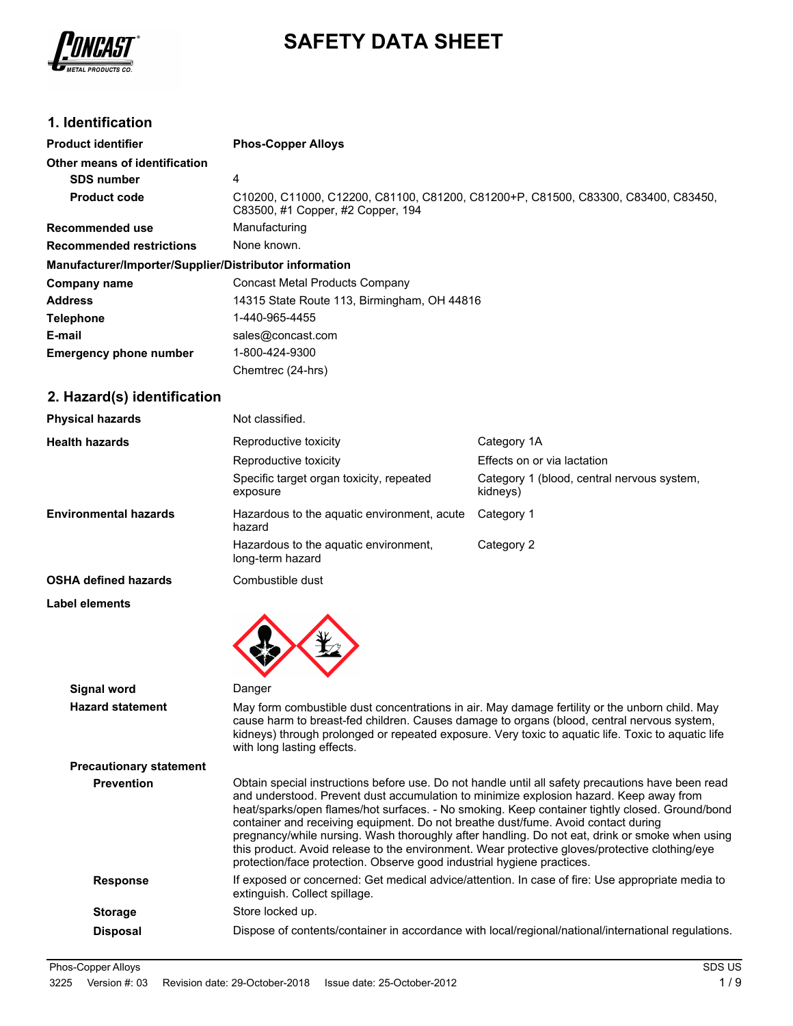

# **SAFETY DATA SHEET**

# **1. Identification**

| <b>Product identifier</b>                              | <b>Phos-Copper Alloys</b>                                                                                              |
|--------------------------------------------------------|------------------------------------------------------------------------------------------------------------------------|
| Other means of identification                          |                                                                                                                        |
| <b>SDS number</b>                                      | 4                                                                                                                      |
| <b>Product code</b>                                    | C10200, C11000, C12200, C81100, C81200, C81200+P, C81500, C83300, C83400, C83450,<br>C83500, #1 Copper, #2 Copper, 194 |
| Recommended use                                        | Manufacturing                                                                                                          |
| <b>Recommended restrictions</b>                        | None known.                                                                                                            |
| Manufacturer/Importer/Supplier/Distributor information |                                                                                                                        |
| Company name                                           | Concast Metal Products Company                                                                                         |
| <b>Address</b>                                         | 14315 State Route 113, Birmingham, OH 44816                                                                            |
| <b>Telephone</b>                                       | 1-440-965-4455                                                                                                         |
| E-mail                                                 | sales@concast.com                                                                                                      |
| <b>Emergency phone number</b>                          | 1-800-424-9300                                                                                                         |
|                                                        | Chemtrec (24-hrs)                                                                                                      |

# **2. Hazard(s) identification**

| <b>Physical hazards</b>                       | Not classified.                                                                                                                                                                                                                                       |                                                                                                                                                                                                                                                                                                                                                                                                         |
|-----------------------------------------------|-------------------------------------------------------------------------------------------------------------------------------------------------------------------------------------------------------------------------------------------------------|---------------------------------------------------------------------------------------------------------------------------------------------------------------------------------------------------------------------------------------------------------------------------------------------------------------------------------------------------------------------------------------------------------|
| <b>Health hazards</b>                         | Reproductive toxicity                                                                                                                                                                                                                                 | Category 1A                                                                                                                                                                                                                                                                                                                                                                                             |
|                                               | Reproductive toxicity                                                                                                                                                                                                                                 | Effects on or via lactation                                                                                                                                                                                                                                                                                                                                                                             |
|                                               | Specific target organ toxicity, repeated<br>exposure                                                                                                                                                                                                  | Category 1 (blood, central nervous system,<br>kidneys)                                                                                                                                                                                                                                                                                                                                                  |
| <b>Environmental hazards</b>                  | Hazardous to the aquatic environment, acute<br>hazard                                                                                                                                                                                                 | Category 1                                                                                                                                                                                                                                                                                                                                                                                              |
|                                               | Hazardous to the aquatic environment,<br>long-term hazard                                                                                                                                                                                             | Category 2                                                                                                                                                                                                                                                                                                                                                                                              |
| OSHA defined hazards                          | Combustible dust                                                                                                                                                                                                                                      |                                                                                                                                                                                                                                                                                                                                                                                                         |
| <b>Label elements</b>                         |                                                                                                                                                                                                                                                       |                                                                                                                                                                                                                                                                                                                                                                                                         |
| <b>Signal word</b><br><b>Hazard statement</b> | Danger<br>with long lasting effects.                                                                                                                                                                                                                  | May form combustible dust concentrations in air. May damage fertility or the unborn child. May<br>cause harm to breast-fed children. Causes damage to organs (blood, central nervous system,<br>kidneys) through prolonged or repeated exposure. Very toxic to aquatic life. Toxic to aquatic life                                                                                                      |
| <b>Precautionary statement</b>                |                                                                                                                                                                                                                                                       |                                                                                                                                                                                                                                                                                                                                                                                                         |
| <b>Prevention</b>                             | and understood. Prevent dust accumulation to minimize explosion hazard. Keep away from<br>container and receiving equipment. Do not breathe dust/fume. Avoid contact during<br>protection/face protection. Observe good industrial hygiene practices. | Obtain special instructions before use. Do not handle until all safety precautions have been read<br>heat/sparks/open flames/hot surfaces. - No smoking. Keep container tightly closed. Ground/bond<br>pregnancy/while nursing. Wash thoroughly after handling. Do not eat, drink or smoke when using<br>this product. Avoid release to the environment. Wear protective gloves/protective clothing/eye |
| <b>Response</b>                               | extinguish. Collect spillage.                                                                                                                                                                                                                         | If exposed or concerned: Get medical advice/attention. In case of fire: Use appropriate media to                                                                                                                                                                                                                                                                                                        |
| <b>Storage</b>                                | Store locked up.                                                                                                                                                                                                                                      |                                                                                                                                                                                                                                                                                                                                                                                                         |
| <b>Disposal</b>                               |                                                                                                                                                                                                                                                       | Dispose of contents/container in accordance with local/regional/national/international regulations.                                                                                                                                                                                                                                                                                                     |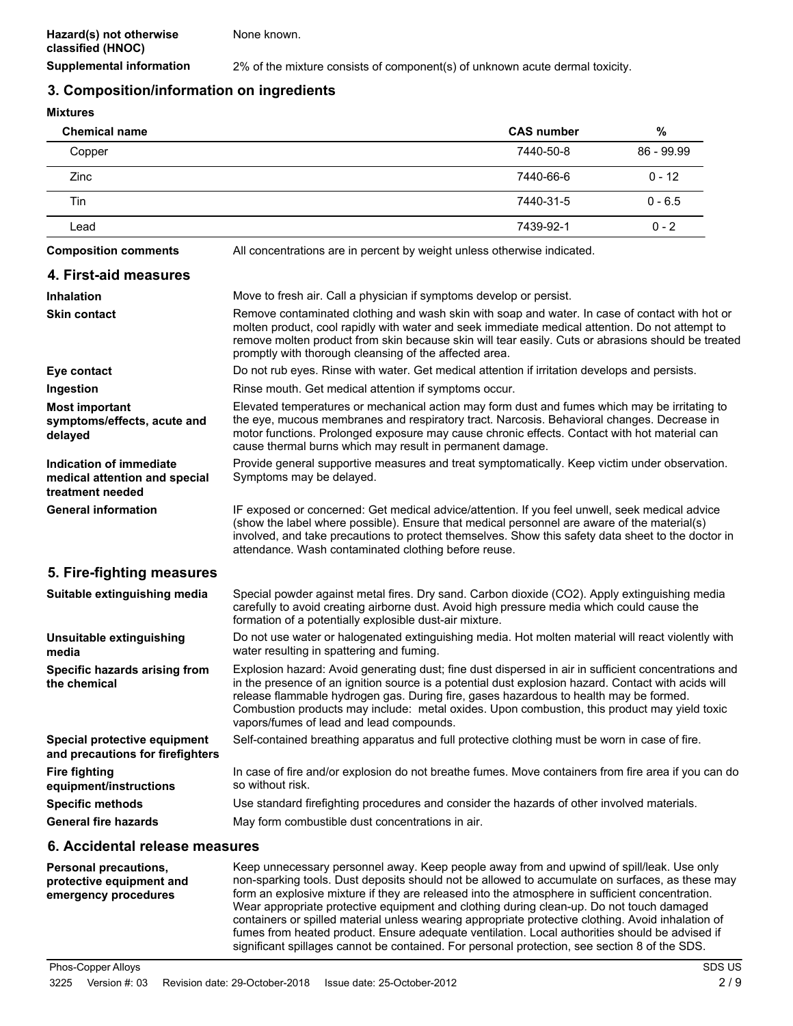None known.

**Supplemental information** 2% of the mixture consists of component(s) of unknown acute dermal toxicity.

### **3. Composition/information on ingredients**

**Mixtures**

| <b>Chemical name</b>                                                                |                                                                                                                                                                                                                                                                                                                                                                                                                                                  | <b>CAS number</b> | %          |
|-------------------------------------------------------------------------------------|--------------------------------------------------------------------------------------------------------------------------------------------------------------------------------------------------------------------------------------------------------------------------------------------------------------------------------------------------------------------------------------------------------------------------------------------------|-------------------|------------|
| Copper                                                                              |                                                                                                                                                                                                                                                                                                                                                                                                                                                  | 7440-50-8         | 86 - 99.99 |
| Zinc                                                                                |                                                                                                                                                                                                                                                                                                                                                                                                                                                  | 7440-66-6         | $0 - 12$   |
| Tin                                                                                 |                                                                                                                                                                                                                                                                                                                                                                                                                                                  | 7440-31-5         | $0 - 6.5$  |
| Lead                                                                                |                                                                                                                                                                                                                                                                                                                                                                                                                                                  | 7439-92-1         | $0 - 2$    |
| <b>Composition comments</b>                                                         | All concentrations are in percent by weight unless otherwise indicated.                                                                                                                                                                                                                                                                                                                                                                          |                   |            |
| 4. First-aid measures                                                               |                                                                                                                                                                                                                                                                                                                                                                                                                                                  |                   |            |
| <b>Inhalation</b>                                                                   | Move to fresh air. Call a physician if symptoms develop or persist.                                                                                                                                                                                                                                                                                                                                                                              |                   |            |
| <b>Skin contact</b>                                                                 | Remove contaminated clothing and wash skin with soap and water. In case of contact with hot or<br>molten product, cool rapidly with water and seek immediate medical attention. Do not attempt to<br>remove molten product from skin because skin will tear easily. Cuts or abrasions should be treated<br>promptly with thorough cleansing of the affected area.                                                                                |                   |            |
| Eye contact                                                                         | Do not rub eyes. Rinse with water. Get medical attention if irritation develops and persists.                                                                                                                                                                                                                                                                                                                                                    |                   |            |
| Ingestion                                                                           | Rinse mouth. Get medical attention if symptoms occur.                                                                                                                                                                                                                                                                                                                                                                                            |                   |            |
| <b>Most important</b><br>symptoms/effects, acute and<br>delayed                     | Elevated temperatures or mechanical action may form dust and fumes which may be irritating to<br>the eye, mucous membranes and respiratory tract. Narcosis. Behavioral changes. Decrease in<br>motor functions. Prolonged exposure may cause chronic effects. Contact with hot material can<br>cause thermal burns which may result in permanent damage.                                                                                         |                   |            |
| <b>Indication of immediate</b><br>medical attention and special<br>treatment needed | Provide general supportive measures and treat symptomatically. Keep victim under observation.<br>Symptoms may be delayed.                                                                                                                                                                                                                                                                                                                        |                   |            |
| <b>General information</b>                                                          | IF exposed or concerned: Get medical advice/attention. If you feel unwell, seek medical advice<br>(show the label where possible). Ensure that medical personnel are aware of the material(s)<br>involved, and take precautions to protect themselves. Show this safety data sheet to the doctor in<br>attendance. Wash contaminated clothing before reuse.                                                                                      |                   |            |
| 5. Fire-fighting measures                                                           |                                                                                                                                                                                                                                                                                                                                                                                                                                                  |                   |            |
| Suitable extinguishing media                                                        | Special powder against metal fires. Dry sand. Carbon dioxide (CO2). Apply extinguishing media<br>carefully to avoid creating airborne dust. Avoid high pressure media which could cause the<br>formation of a potentially explosible dust-air mixture.                                                                                                                                                                                           |                   |            |
| Unsuitable extinguishing<br>media                                                   | Do not use water or halogenated extinguishing media. Hot molten material will react violently with<br>water resulting in spattering and fuming.                                                                                                                                                                                                                                                                                                  |                   |            |
| Specific hazards arising from<br>the chemical                                       | Explosion hazard: Avoid generating dust; fine dust dispersed in air in sufficient concentrations and<br>in the presence of an ignition source is a potential dust explosion hazard. Contact with acids will<br>release flammable hydrogen gas. During fire, gases hazardous to health may be formed.<br>Combustion products may include: metal oxides. Upon combustion, this product may yield toxic<br>vapors/fumes of lead and lead compounds. |                   |            |
| Special protective equipment<br>and precautions for firefighters                    | Self-contained breathing apparatus and full protective clothing must be worn in case of fire.                                                                                                                                                                                                                                                                                                                                                    |                   |            |
| <b>Fire fighting</b><br>equipment/instructions                                      | In case of fire and/or explosion do not breathe fumes. Move containers from fire area if you can do<br>so without risk.                                                                                                                                                                                                                                                                                                                          |                   |            |
| <b>Specific methods</b>                                                             | Use standard firefighting procedures and consider the hazards of other involved materials.                                                                                                                                                                                                                                                                                                                                                       |                   |            |
| <b>General fire hazards</b>                                                         | May form combustible dust concentrations in air.                                                                                                                                                                                                                                                                                                                                                                                                 |                   |            |
| 6. Accidental release measures                                                      |                                                                                                                                                                                                                                                                                                                                                                                                                                                  |                   |            |
|                                                                                     |                                                                                                                                                                                                                                                                                                                                                                                                                                                  |                   |            |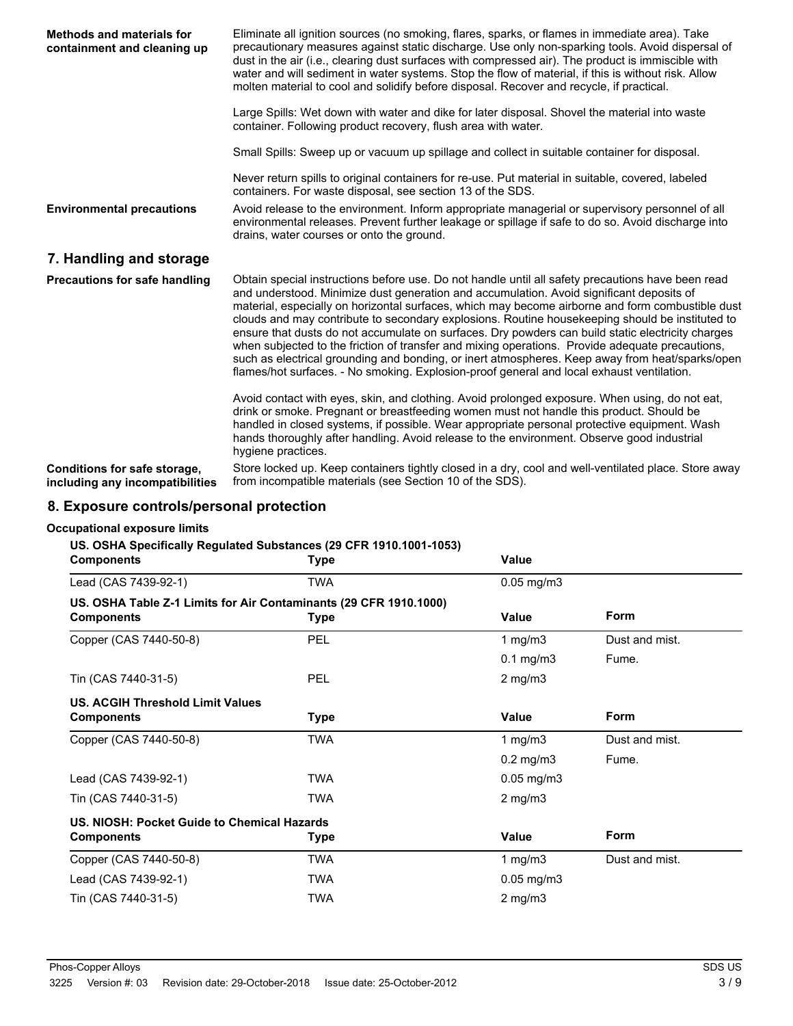| <b>Methods and materials for</b><br>containment and cleaning up | Eliminate all ignition sources (no smoking, flares, sparks, or flames in immediate area). Take<br>precautionary measures against static discharge. Use only non-sparking tools. Avoid dispersal of<br>dust in the air (i.e., clearing dust surfaces with compressed air). The product is immiscible with<br>water and will sediment in water systems. Stop the flow of material, if this is without risk. Allow<br>molten material to cool and solidify before disposal. Recover and recycle, if practical.                                                                                                                                                                                                                                                                                                  |
|-----------------------------------------------------------------|--------------------------------------------------------------------------------------------------------------------------------------------------------------------------------------------------------------------------------------------------------------------------------------------------------------------------------------------------------------------------------------------------------------------------------------------------------------------------------------------------------------------------------------------------------------------------------------------------------------------------------------------------------------------------------------------------------------------------------------------------------------------------------------------------------------|
|                                                                 | Large Spills: Wet down with water and dike for later disposal. Shovel the material into waste<br>container. Following product recovery, flush area with water.                                                                                                                                                                                                                                                                                                                                                                                                                                                                                                                                                                                                                                               |
|                                                                 | Small Spills: Sweep up or vacuum up spillage and collect in suitable container for disposal.                                                                                                                                                                                                                                                                                                                                                                                                                                                                                                                                                                                                                                                                                                                 |
|                                                                 | Never return spills to original containers for re-use. Put material in suitable, covered, labeled<br>containers. For waste disposal, see section 13 of the SDS.                                                                                                                                                                                                                                                                                                                                                                                                                                                                                                                                                                                                                                              |
| <b>Environmental precautions</b>                                | Avoid release to the environment. Inform appropriate managerial or supervisory personnel of all<br>environmental releases. Prevent further leakage or spillage if safe to do so. Avoid discharge into<br>drains, water courses or onto the ground.                                                                                                                                                                                                                                                                                                                                                                                                                                                                                                                                                           |
| 7. Handling and storage                                         |                                                                                                                                                                                                                                                                                                                                                                                                                                                                                                                                                                                                                                                                                                                                                                                                              |
| <b>Precautions for safe handling</b>                            | Obtain special instructions before use. Do not handle until all safety precautions have been read<br>and understood. Minimize dust generation and accumulation. Avoid significant deposits of<br>material, especially on horizontal surfaces, which may become airborne and form combustible dust<br>clouds and may contribute to secondary explosions. Routine housekeeping should be instituted to<br>ensure that dusts do not accumulate on surfaces. Dry powders can build static electricity charges<br>when subjected to the friction of transfer and mixing operations. Provide adequate precautions,<br>such as electrical grounding and bonding, or inert atmospheres. Keep away from heat/sparks/open<br>flames/hot surfaces. - No smoking. Explosion-proof general and local exhaust ventilation. |
|                                                                 | Avoid contact with eyes, skin, and clothing. Avoid prolonged exposure. When using, do not eat,<br>drink or smoke. Pregnant or breastfeeding women must not handle this product. Should be<br>handled in closed systems, if possible. Wear appropriate personal protective equipment. Wash<br>hands thoroughly after handling. Avoid release to the environment. Observe good industrial<br>hygiene practices.                                                                                                                                                                                                                                                                                                                                                                                                |
| Conditions for safe storage,<br>including any incompatibilities | Store locked up. Keep containers tightly closed in a dry, cool and well-ventilated place. Store away<br>from incompatible materials (see Section 10 of the SDS).                                                                                                                                                                                                                                                                                                                                                                                                                                                                                                                                                                                                                                             |

# **8. Exposure controls/personal protection**

### **Occupational exposure limits**

### **US. OSHA Specifically Regulated Substances (29 CFR 1910.1001-1053)**

| <b>Components</b>                           | <b>Type</b>                                                       | Value            |                |  |
|---------------------------------------------|-------------------------------------------------------------------|------------------|----------------|--|
| Lead (CAS 7439-92-1)                        | <b>TWA</b>                                                        | $0.05$ mg/m $3$  |                |  |
|                                             | US. OSHA Table Z-1 Limits for Air Contaminants (29 CFR 1910.1000) |                  |                |  |
| <b>Components</b>                           | <b>Type</b>                                                       | Value            | <b>Form</b>    |  |
| Copper (CAS 7440-50-8)                      | PEL                                                               | 1 mg/m $3$       | Dust and mist. |  |
|                                             |                                                                   | $0.1$ mg/m $3$   | Fume.          |  |
| Tin (CAS 7440-31-5)                         | <b>PEL</b>                                                        | $2 \text{ mg/m}$ |                |  |
| <b>US. ACGIH Threshold Limit Values</b>     |                                                                   |                  |                |  |
| <b>Components</b>                           | <b>Type</b>                                                       | Value            | <b>Form</b>    |  |
| Copper (CAS 7440-50-8)                      | <b>TWA</b>                                                        | 1 mg/m $3$       | Dust and mist. |  |
|                                             |                                                                   | $0.2$ mg/m $3$   | Fume.          |  |
| Lead (CAS 7439-92-1)                        | <b>TWA</b>                                                        | $0.05$ mg/m $3$  |                |  |
| Tin (CAS 7440-31-5)                         | <b>TWA</b>                                                        | $2 \text{ mg/m}$ |                |  |
| US. NIOSH: Pocket Guide to Chemical Hazards |                                                                   |                  |                |  |
| <b>Components</b>                           | <b>Type</b>                                                       | Value            | <b>Form</b>    |  |
| Copper (CAS 7440-50-8)                      | TWA                                                               | 1 mg/m $3$       | Dust and mist. |  |
| Lead (CAS 7439-92-1)                        | <b>TWA</b>                                                        | $0.05$ mg/m $3$  |                |  |
| Tin (CAS 7440-31-5)                         | <b>TWA</b>                                                        | $2$ mg/m $3$     |                |  |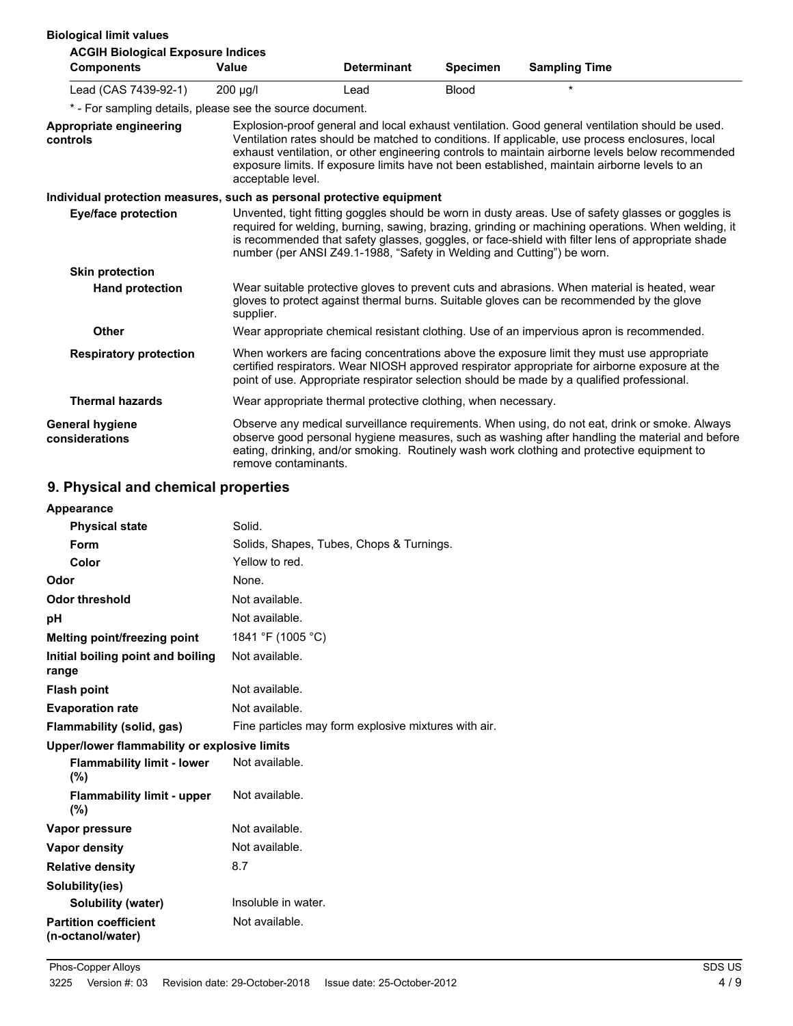| <b>Biological limit values</b>                                        |                      |                                                                        |                 |                                                                                                                                                                                                                                                                                                                                                                                                         |  |
|-----------------------------------------------------------------------|----------------------|------------------------------------------------------------------------|-----------------|---------------------------------------------------------------------------------------------------------------------------------------------------------------------------------------------------------------------------------------------------------------------------------------------------------------------------------------------------------------------------------------------------------|--|
| <b>ACGIH Biological Exposure Indices</b>                              |                      |                                                                        |                 |                                                                                                                                                                                                                                                                                                                                                                                                         |  |
| <b>Components</b>                                                     | Value                | <b>Determinant</b>                                                     | <b>Specimen</b> | <b>Sampling Time</b>                                                                                                                                                                                                                                                                                                                                                                                    |  |
| Lead (CAS 7439-92-1)                                                  | 200 µg/l             | Lead                                                                   | <b>Blood</b>    | $\star$                                                                                                                                                                                                                                                                                                                                                                                                 |  |
| * - For sampling details, please see the source document.             |                      |                                                                        |                 |                                                                                                                                                                                                                                                                                                                                                                                                         |  |
| Appropriate engineering<br>controls                                   | acceptable level.    |                                                                        |                 | Explosion-proof general and local exhaust ventilation. Good general ventilation should be used.<br>Ventilation rates should be matched to conditions. If applicable, use process enclosures, local<br>exhaust ventilation, or other engineering controls to maintain airborne levels below recommended<br>exposure limits. If exposure limits have not been established, maintain airborne levels to an |  |
| Individual protection measures, such as personal protective equipment |                      |                                                                        |                 |                                                                                                                                                                                                                                                                                                                                                                                                         |  |
| <b>Eye/face protection</b>                                            |                      | number (per ANSI Z49.1-1988, "Safety in Welding and Cutting") be worn. |                 | Unvented, tight fitting goggles should be worn in dusty areas. Use of safety glasses or goggles is<br>required for welding, burning, sawing, brazing, grinding or machining operations. When welding, it<br>is recommended that safety glasses, goggles, or face-shield with filter lens of appropriate shade                                                                                           |  |
| <b>Skin protection</b>                                                |                      |                                                                        |                 |                                                                                                                                                                                                                                                                                                                                                                                                         |  |
| <b>Hand protection</b>                                                | supplier.            |                                                                        |                 | Wear suitable protective gloves to prevent cuts and abrasions. When material is heated, wear<br>gloves to protect against thermal burns. Suitable gloves can be recommended by the glove                                                                                                                                                                                                                |  |
| <b>Other</b>                                                          |                      |                                                                        |                 | Wear appropriate chemical resistant clothing. Use of an impervious apron is recommended.                                                                                                                                                                                                                                                                                                                |  |
| <b>Respiratory protection</b>                                         |                      |                                                                        |                 | When workers are facing concentrations above the exposure limit they must use appropriate<br>certified respirators. Wear NIOSH approved respirator appropriate for airborne exposure at the<br>point of use. Appropriate respirator selection should be made by a qualified professional.                                                                                                               |  |
| <b>Thermal hazards</b>                                                |                      | Wear appropriate thermal protective clothing, when necessary.          |                 |                                                                                                                                                                                                                                                                                                                                                                                                         |  |
| <b>General hygiene</b><br>considerations                              | remove contaminants. |                                                                        |                 | Observe any medical surveillance requirements. When using, do not eat, drink or smoke. Always<br>observe good personal hygiene measures, such as washing after handling the material and before<br>eating, drinking, and/or smoking. Routinely wash work clothing and protective equipment to                                                                                                           |  |

# **9. Physical and chemical properties**

| Appearance                                        |                                                      |
|---------------------------------------------------|------------------------------------------------------|
| <b>Physical state</b>                             | Solid.                                               |
| Form                                              | Solids, Shapes, Tubes, Chops & Turnings.             |
| Color                                             | Yellow to red.                                       |
| Odor                                              | None.                                                |
| <b>Odor threshold</b>                             | Not available.                                       |
| рH                                                | Not available.                                       |
| <b>Melting point/freezing point</b>               | 1841 °F (1005 °C)                                    |
| Initial boiling point and boiling<br>range        | Not available.                                       |
| <b>Flash point</b>                                | Not available.                                       |
| <b>Evaporation rate</b>                           | Not available.                                       |
| Flammability (solid, gas)                         | Fine particles may form explosive mixtures with air. |
| Upper/lower flammability or explosive limits      |                                                      |
| <b>Flammability limit - lower</b><br>(%)          | Not available.                                       |
| <b>Flammability limit - upper</b><br>$(\% )$      | Not available.                                       |
| Vapor pressure                                    | Not available.                                       |
| <b>Vapor density</b>                              | Not available.                                       |
| <b>Relative density</b>                           | 8.7                                                  |
| Solubility(ies)                                   |                                                      |
| <b>Solubility (water)</b>                         | Insoluble in water.                                  |
| <b>Partition coefficient</b><br>(n-octanol/water) | Not available.                                       |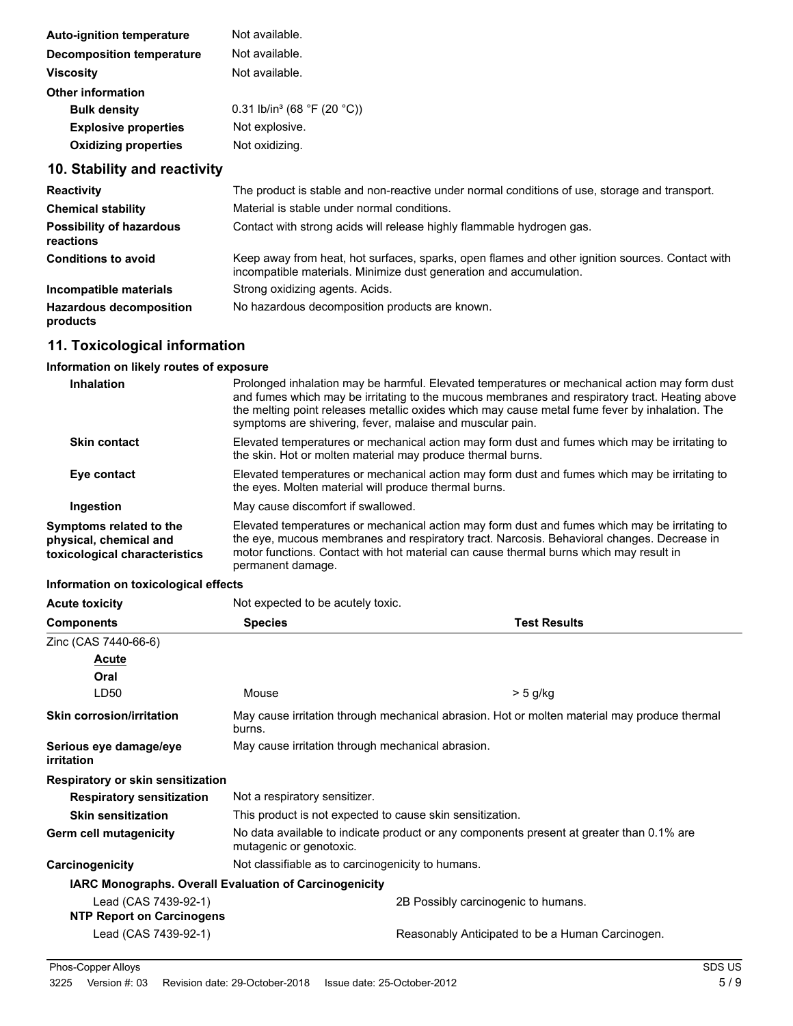| Not available.<br><b>Decomposition temperature</b><br>Not available.<br><b>Viscosity</b><br>Other information<br>0.31 lb/in <sup>3</sup> (68 °F (20 °C))<br><b>Bulk density</b><br><b>Explosive properties</b><br>Not explosive.<br>Not oxidizing.<br><b>Oxidizing properties</b> | <b>Auto-ignition temperature</b> | Not available. |
|-----------------------------------------------------------------------------------------------------------------------------------------------------------------------------------------------------------------------------------------------------------------------------------|----------------------------------|----------------|
|                                                                                                                                                                                                                                                                                   |                                  |                |
|                                                                                                                                                                                                                                                                                   |                                  |                |
|                                                                                                                                                                                                                                                                                   |                                  |                |
|                                                                                                                                                                                                                                                                                   |                                  |                |
|                                                                                                                                                                                                                                                                                   |                                  |                |
|                                                                                                                                                                                                                                                                                   |                                  |                |

# **10. Stability and reactivity**

| <b>Reactivity</b>                            | The product is stable and non-reactive under normal conditions of use, storage and transport.                                                                         |
|----------------------------------------------|-----------------------------------------------------------------------------------------------------------------------------------------------------------------------|
| <b>Chemical stability</b>                    | Material is stable under normal conditions.                                                                                                                           |
| <b>Possibility of hazardous</b><br>reactions | Contact with strong acids will release highly flammable hydrogen gas.                                                                                                 |
| <b>Conditions to avoid</b>                   | Keep away from heat, hot surfaces, sparks, open flames and other ignition sources. Contact with<br>incompatible materials. Minimize dust generation and accumulation. |
| Incompatible materials                       | Strong oxidizing agents. Acids.                                                                                                                                       |
| <b>Hazardous decomposition</b><br>products   | No hazardous decomposition products are known.                                                                                                                        |

# **11. Toxicological information**

### **Information on likely routes of exposure**

| Inhalation                                                                         | Prolonged inhalation may be harmful. Elevated temperatures or mechanical action may form dust<br>and fumes which may be irritating to the mucous membranes and respiratory tract. Heating above<br>the melting point releases metallic oxides which may cause metal fume fever by inhalation. The<br>symptoms are shivering, fever, malaise and muscular pain. |
|------------------------------------------------------------------------------------|----------------------------------------------------------------------------------------------------------------------------------------------------------------------------------------------------------------------------------------------------------------------------------------------------------------------------------------------------------------|
| <b>Skin contact</b>                                                                | Elevated temperatures or mechanical action may form dust and fumes which may be irritating to<br>the skin. Hot or molten material may produce thermal burns.                                                                                                                                                                                                   |
| Eye contact                                                                        | Elevated temperatures or mechanical action may form dust and fumes which may be irritating to<br>the eyes. Molten material will produce thermal burns.                                                                                                                                                                                                         |
| Ingestion                                                                          | May cause discomfort if swallowed.                                                                                                                                                                                                                                                                                                                             |
| Symptoms related to the<br>physical, chemical and<br>toxicological characteristics | Elevated temperatures or mechanical action may form dust and fumes which may be irritating to<br>the eye, mucous membranes and respiratory tract. Narcosis. Behavioral changes. Decrease in<br>motor functions. Contact with hot material can cause thermal burns which may result in<br>permanent damage.                                                     |

## **Information on toxicological effects**

| information on toxicological effects                   |                                                                                                                     |                                                                                              |  |
|--------------------------------------------------------|---------------------------------------------------------------------------------------------------------------------|----------------------------------------------------------------------------------------------|--|
| <b>Acute toxicity</b>                                  | Not expected to be acutely toxic.                                                                                   |                                                                                              |  |
| <b>Components</b>                                      | <b>Species</b>                                                                                                      | <b>Test Results</b>                                                                          |  |
| Zinc (CAS 7440-66-6)                                   |                                                                                                                     |                                                                                              |  |
| <b>Acute</b>                                           |                                                                                                                     |                                                                                              |  |
| Oral                                                   |                                                                                                                     |                                                                                              |  |
| LD50                                                   | Mouse                                                                                                               | $> 5$ g/kg                                                                                   |  |
| <b>Skin corrosion/irritation</b>                       | burns.                                                                                                              | May cause irritation through mechanical abrasion. Hot or molten material may produce thermal |  |
| Serious eye damage/eye<br>irritation                   | May cause irritation through mechanical abrasion.                                                                   |                                                                                              |  |
| Respiratory or skin sensitization                      |                                                                                                                     |                                                                                              |  |
| <b>Respiratory sensitization</b>                       | Not a respiratory sensitizer.                                                                                       |                                                                                              |  |
| <b>Skin sensitization</b>                              |                                                                                                                     | This product is not expected to cause skin sensitization.                                    |  |
| Germ cell mutagenicity                                 | No data available to indicate product or any components present at greater than 0.1% are<br>mutagenic or genotoxic. |                                                                                              |  |
| Carcinogenicity                                        | Not classifiable as to carcinogenicity to humans.                                                                   |                                                                                              |  |
| IARC Monographs. Overall Evaluation of Carcinogenicity |                                                                                                                     |                                                                                              |  |
| Lead (CAS 7439-92-1)                                   |                                                                                                                     | 2B Possibly carcinogenic to humans.                                                          |  |
| <b>NTP Report on Carcinogens</b>                       |                                                                                                                     |                                                                                              |  |
| Lead (CAS 7439-92-1)                                   |                                                                                                                     | Reasonably Anticipated to be a Human Carcinogen.                                             |  |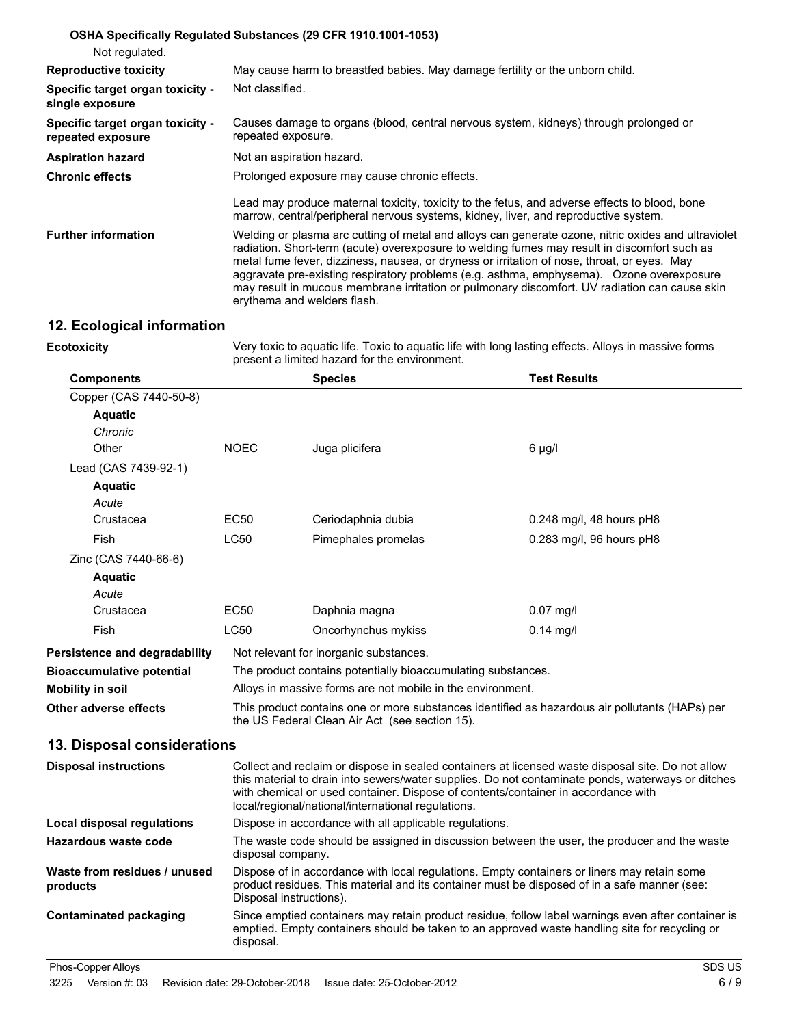| Not regulated.                                        | OSHA Specifically Regulated Substances (29 CFR 1910.1001-1053)                                                                                                                                                                                                                                                                                                                                                                                                                                                                 |
|-------------------------------------------------------|--------------------------------------------------------------------------------------------------------------------------------------------------------------------------------------------------------------------------------------------------------------------------------------------------------------------------------------------------------------------------------------------------------------------------------------------------------------------------------------------------------------------------------|
| <b>Reproductive toxicity</b>                          | May cause harm to breastfed babies. May damage fertility or the unborn child.                                                                                                                                                                                                                                                                                                                                                                                                                                                  |
| Specific target organ toxicity -<br>single exposure   | Not classified.                                                                                                                                                                                                                                                                                                                                                                                                                                                                                                                |
| Specific target organ toxicity -<br>repeated exposure | Causes damage to organs (blood, central nervous system, kidneys) through prolonged or<br>repeated exposure.                                                                                                                                                                                                                                                                                                                                                                                                                    |
| <b>Aspiration hazard</b>                              | Not an aspiration hazard.                                                                                                                                                                                                                                                                                                                                                                                                                                                                                                      |
| <b>Chronic effects</b>                                | Prolonged exposure may cause chronic effects.                                                                                                                                                                                                                                                                                                                                                                                                                                                                                  |
|                                                       | Lead may produce maternal toxicity, toxicity to the fetus, and adverse effects to blood, bone<br>marrow, central/peripheral nervous systems, kidney, liver, and reproductive system.                                                                                                                                                                                                                                                                                                                                           |
| <b>Further information</b>                            | Welding or plasma arc cutting of metal and alloys can generate ozone, nitric oxides and ultraviolet<br>radiation. Short-term (acute) overexposure to welding fumes may result in discomfort such as<br>metal fume fever, dizziness, nausea, or dryness or irritation of nose, throat, or eyes. May<br>aggravate pre-existing respiratory problems (e.g. asthma, emphysema). Ozone overexposure<br>may result in mucous membrane irritation or pulmonary discomfort. UV radiation can cause skin<br>erythema and welders flash. |

### **12. Ecological information**

**Ecotoxicity**

Very toxic to aquatic life. Toxic to aquatic life with long lasting effects. Alloys in massive forms present a limited hazard for the environment.

emptied. Empty containers should be taken to an approved waste handling site for recycling or

| <b>Components</b>                        |                                                                                                                                                                                                                                                                                                                                                   | <b>Species</b>                                                                                                                                                                                                         | <b>Test Results</b>      |  |  |
|------------------------------------------|---------------------------------------------------------------------------------------------------------------------------------------------------------------------------------------------------------------------------------------------------------------------------------------------------------------------------------------------------|------------------------------------------------------------------------------------------------------------------------------------------------------------------------------------------------------------------------|--------------------------|--|--|
| Copper (CAS 7440-50-8)                   |                                                                                                                                                                                                                                                                                                                                                   |                                                                                                                                                                                                                        |                          |  |  |
| <b>Aquatic</b>                           |                                                                                                                                                                                                                                                                                                                                                   |                                                                                                                                                                                                                        |                          |  |  |
| Chronic                                  |                                                                                                                                                                                                                                                                                                                                                   |                                                                                                                                                                                                                        |                          |  |  |
| Other                                    | <b>NOEC</b>                                                                                                                                                                                                                                                                                                                                       | Juga plicifera                                                                                                                                                                                                         | 6 µg/l                   |  |  |
| Lead (CAS 7439-92-1)                     |                                                                                                                                                                                                                                                                                                                                                   |                                                                                                                                                                                                                        |                          |  |  |
| <b>Aquatic</b>                           |                                                                                                                                                                                                                                                                                                                                                   |                                                                                                                                                                                                                        |                          |  |  |
| Acute                                    |                                                                                                                                                                                                                                                                                                                                                   |                                                                                                                                                                                                                        |                          |  |  |
| Crustacea                                | <b>EC50</b>                                                                                                                                                                                                                                                                                                                                       | Ceriodaphnia dubia                                                                                                                                                                                                     | 0.248 mg/l, 48 hours pH8 |  |  |
| Fish                                     | <b>LC50</b>                                                                                                                                                                                                                                                                                                                                       | Pimephales promelas                                                                                                                                                                                                    | 0.283 mg/l, 96 hours pH8 |  |  |
| Zinc (CAS 7440-66-6)                     |                                                                                                                                                                                                                                                                                                                                                   |                                                                                                                                                                                                                        |                          |  |  |
| <b>Aquatic</b>                           |                                                                                                                                                                                                                                                                                                                                                   |                                                                                                                                                                                                                        |                          |  |  |
| Acute                                    |                                                                                                                                                                                                                                                                                                                                                   |                                                                                                                                                                                                                        |                          |  |  |
| Crustacea                                | <b>EC50</b>                                                                                                                                                                                                                                                                                                                                       | Daphnia magna                                                                                                                                                                                                          | $0.07$ mg/l              |  |  |
| Fish                                     | <b>LC50</b>                                                                                                                                                                                                                                                                                                                                       | Oncorhynchus mykiss                                                                                                                                                                                                    | $0.14$ mg/l              |  |  |
| Persistence and degradability            |                                                                                                                                                                                                                                                                                                                                                   | Not relevant for inorganic substances.                                                                                                                                                                                 |                          |  |  |
| <b>Bioaccumulative potential</b>         |                                                                                                                                                                                                                                                                                                                                                   | The product contains potentially bioaccumulating substances.                                                                                                                                                           |                          |  |  |
| Mobility in soil                         |                                                                                                                                                                                                                                                                                                                                                   | Alloys in massive forms are not mobile in the environment.                                                                                                                                                             |                          |  |  |
| Other adverse effects                    |                                                                                                                                                                                                                                                                                                                                                   | This product contains one or more substances identified as hazardous air pollutants (HAPs) per<br>the US Federal Clean Air Act (see section 15).                                                                       |                          |  |  |
| 13. Disposal considerations              |                                                                                                                                                                                                                                                                                                                                                   |                                                                                                                                                                                                                        |                          |  |  |
| <b>Disposal instructions</b>             | Collect and reclaim or dispose in sealed containers at licensed waste disposal site. Do not allow<br>this material to drain into sewers/water supplies. Do not contaminate ponds, waterways or ditches<br>with chemical or used container. Dispose of contents/container in accordance with<br>local/regional/national/international regulations. |                                                                                                                                                                                                                        |                          |  |  |
| <b>Local disposal regulations</b>        |                                                                                                                                                                                                                                                                                                                                                   | Dispose in accordance with all applicable regulations.                                                                                                                                                                 |                          |  |  |
| <b>Hazardous waste code</b>              |                                                                                                                                                                                                                                                                                                                                                   | The waste code should be assigned in discussion between the user, the producer and the waste<br>disposal company.                                                                                                      |                          |  |  |
| Waste from residues / unused<br>products |                                                                                                                                                                                                                                                                                                                                                   | Dispose of in accordance with local regulations. Empty containers or liners may retain some<br>product residues. This material and its container must be disposed of in a safe manner (see:<br>Disposal instructions). |                          |  |  |
| Contaminated packaging                   | Since emptied containers may retain product residue, follow label warnings even after container is                                                                                                                                                                                                                                                |                                                                                                                                                                                                                        |                          |  |  |

disposal.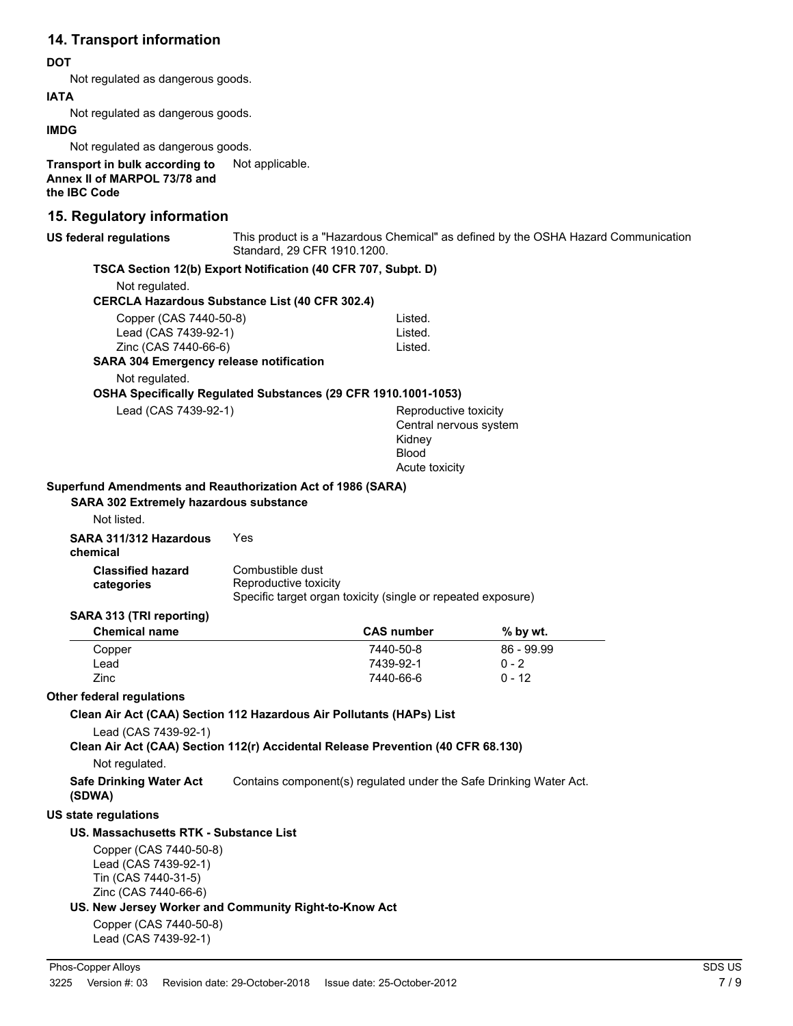# **14. Transport information**

### **DOT**

Not regulated as dangerous goods.

#### **IATA**

Not regulated as dangerous goods.

#### **IMDG**

Not regulated as dangerous goods.

**Transport in bulk according to** Not applicable. **Annex II of MARPOL 73/78 and the IBC Code**

# **15. Regulatory information**

| <b>10. NGYURIOLY IIIIUIIIIAUUII</b>                                                                                  |                                                                    |                                                                    |                                                                                    |  |
|----------------------------------------------------------------------------------------------------------------------|--------------------------------------------------------------------|--------------------------------------------------------------------|------------------------------------------------------------------------------------|--|
| <b>US federal regulations</b>                                                                                        | Standard, 29 CFR 1910.1200.                                        |                                                                    | This product is a "Hazardous Chemical" as defined by the OSHA Hazard Communication |  |
| TSCA Section 12(b) Export Notification (40 CFR 707, Subpt. D)                                                        |                                                                    |                                                                    |                                                                                    |  |
| Not regulated.                                                                                                       |                                                                    |                                                                    |                                                                                    |  |
| <b>CERCLA Hazardous Substance List (40 CFR 302.4)</b>                                                                |                                                                    |                                                                    |                                                                                    |  |
| Copper (CAS 7440-50-8)<br>Lead (CAS 7439-92-1)                                                                       |                                                                    | Listed.<br>Listed.                                                 |                                                                                    |  |
| Zinc (CAS 7440-66-6)                                                                                                 |                                                                    | Listed.                                                            |                                                                                    |  |
| <b>SARA 304 Emergency release notification</b>                                                                       |                                                                    |                                                                    |                                                                                    |  |
| Not regulated.                                                                                                       |                                                                    |                                                                    |                                                                                    |  |
| OSHA Specifically Regulated Substances (29 CFR 1910.1001-1053)                                                       |                                                                    |                                                                    |                                                                                    |  |
| Lead (CAS 7439-92-1)                                                                                                 |                                                                    | Reproductive toxicity                                              |                                                                                    |  |
|                                                                                                                      |                                                                    | Central nervous system<br>Kidney<br><b>Blood</b><br>Acute toxicity |                                                                                    |  |
|                                                                                                                      |                                                                    |                                                                    |                                                                                    |  |
| Superfund Amendments and Reauthorization Act of 1986 (SARA)<br>SARA 302 Extremely hazardous substance<br>Not listed. |                                                                    |                                                                    |                                                                                    |  |
|                                                                                                                      |                                                                    |                                                                    |                                                                                    |  |
| SARA 311/312 Hazardous<br>chemical                                                                                   | Yes                                                                |                                                                    |                                                                                    |  |
| <b>Classified hazard</b><br>categories                                                                               | Combustible dust<br>Reproductive toxicity                          | Specific target organ toxicity (single or repeated exposure)       |                                                                                    |  |
| SARA 313 (TRI reporting)                                                                                             |                                                                    |                                                                    |                                                                                    |  |
| <b>Chemical name</b>                                                                                                 |                                                                    | <b>CAS number</b>                                                  | % by wt.                                                                           |  |
| Copper                                                                                                               |                                                                    | 7440-50-8                                                          | 86 - 99.99                                                                         |  |
| Lead                                                                                                                 |                                                                    | 7439-92-1                                                          | $0 - 2$                                                                            |  |
| Zinc                                                                                                                 |                                                                    | 7440-66-6                                                          | $0 - 12$                                                                           |  |
| <b>Other federal regulations</b>                                                                                     |                                                                    |                                                                    |                                                                                    |  |
| Clean Air Act (CAA) Section 112 Hazardous Air Pollutants (HAPs) List                                                 |                                                                    |                                                                    |                                                                                    |  |
| Lead (CAS 7439-92-1)                                                                                                 |                                                                    |                                                                    |                                                                                    |  |
| Clean Air Act (CAA) Section 112(r) Accidental Release Prevention (40 CFR 68.130)                                     |                                                                    |                                                                    |                                                                                    |  |
| Not regulated.                                                                                                       |                                                                    |                                                                    |                                                                                    |  |
| <b>Safe Drinking Water Act</b><br>(SDWA)                                                                             | Contains component(s) regulated under the Safe Drinking Water Act. |                                                                    |                                                                                    |  |
| <b>US state regulations</b>                                                                                          |                                                                    |                                                                    |                                                                                    |  |
| US. Massachusetts RTK - Substance List                                                                               |                                                                    |                                                                    |                                                                                    |  |
| Copper (CAS 7440-50-8)<br>Lead (CAS 7439-92-1)<br>Tin (CAS 7440-31-5)<br>Zinc (CAS 7440-66-6)                        |                                                                    |                                                                    |                                                                                    |  |
| US. New Jersey Worker and Community Right-to-Know Act                                                                |                                                                    |                                                                    |                                                                                    |  |
| Copper (CAS 7440-50-8)<br>Lead (CAS 7439-92-1)                                                                       |                                                                    |                                                                    |                                                                                    |  |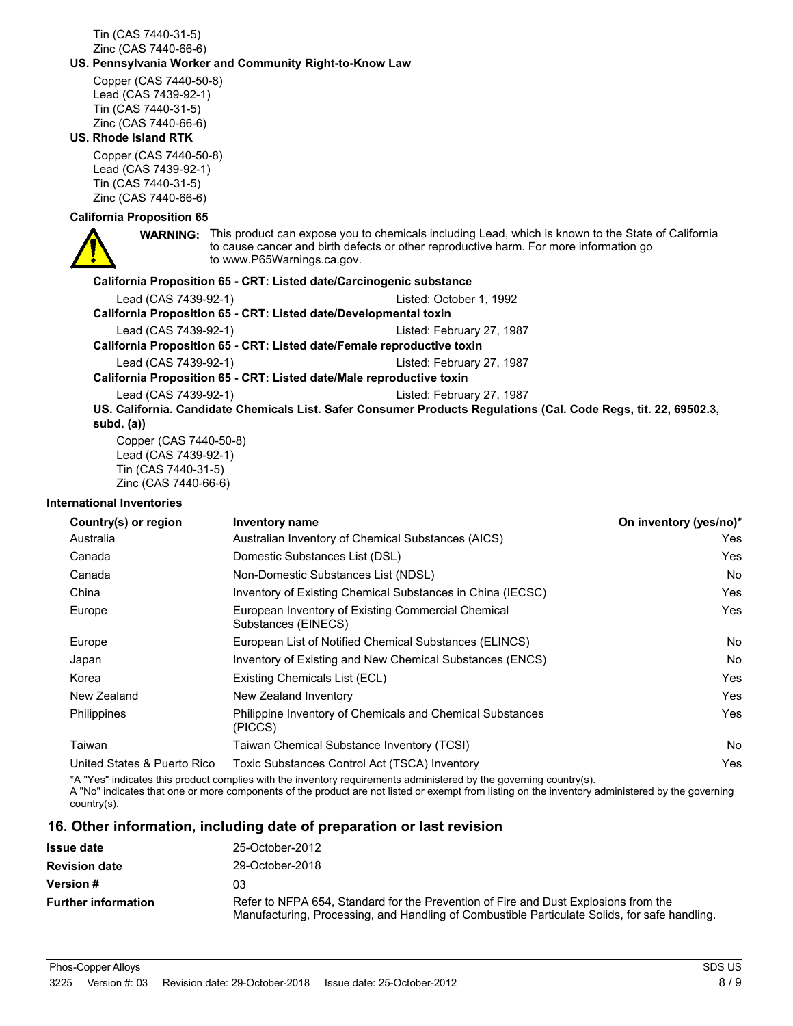Tin (CAS 7440-31-5) Zinc (CAS 7440-66-6)

#### **US. Pennsylvania Worker and Community Right-to-Know Law**

Copper (CAS 7440-50-8) Lead (CAS 7439-92-1) Tin (CAS 7440-31-5) Zinc (CAS 7440-66-6)

#### **US. Rhode Island RTK**

Copper (CAS 7440-50-8) Lead (CAS 7439-92-1) Tin (CAS 7440-31-5) Zinc (CAS 7440-66-6)

#### **California Proposition 65**



**WARNING:** This product can expose you to chemicals including Lead, which is known to the State of California to cause cancer and birth defects or other reproductive harm. For more information go to www.P65Warnings.ca.gov.

#### **California Proposition 65 - CRT: Listed date/Carcinogenic substance**

Lead (CAS 7439-92-1) Listed: October 1, 1992 **California Proposition 65 - CRT: Listed date/Developmental toxin** Lead (CAS 7439-92-1) Listed: February 27, 1987 **California Proposition 65 - CRT: Listed date/Female reproductive toxin** Lead (CAS 7439-92-1) Listed: February 27, 1987 **California Proposition 65 - CRT: Listed date/Male reproductive toxin** Lead (CAS 7439-92-1) Listed: February 27, 1987

**US. California. Candidate Chemicals List. Safer Consumer Products Regulations (Cal. Code Regs, tit. 22, 69502.3, subd. (a))**

Copper (CAS 7440-50-8) Lead (CAS 7439-92-1) Tin (CAS 7440-31-5) Zinc (CAS 7440-66-6)

#### **International Inventories**

| Country(s) or region        | Inventory name                                                            | On inventory (yes/no)* |
|-----------------------------|---------------------------------------------------------------------------|------------------------|
| Australia                   | Australian Inventory of Chemical Substances (AICS)                        | Yes                    |
| Canada                      | Domestic Substances List (DSL)                                            | Yes                    |
| Canada                      | Non-Domestic Substances List (NDSL)                                       | No                     |
| China                       | Inventory of Existing Chemical Substances in China (IECSC)                | Yes                    |
| Europe                      | European Inventory of Existing Commercial Chemical<br>Substances (EINECS) | Yes                    |
| Europe                      | European List of Notified Chemical Substances (ELINCS)                    | No                     |
| Japan                       | Inventory of Existing and New Chemical Substances (ENCS)                  | No                     |
| Korea                       | Existing Chemicals List (ECL)                                             | Yes                    |
| New Zealand                 | New Zealand Inventory                                                     | Yes                    |
| Philippines                 | Philippine Inventory of Chemicals and Chemical Substances<br>(PICCS)      | Yes                    |
| Taiwan                      | Taiwan Chemical Substance Inventory (TCSI)                                | No                     |
| United States & Puerto Rico | Toxic Substances Control Act (TSCA) Inventory                             | Yes                    |

\*A "Yes" indicates this product complies with the inventory requirements administered by the governing country(s). A "No" indicates that one or more components of the product are not listed or exempt from listing on the inventory administered by the governing country(s).

### **16. Other information, including date of preparation or last revision**

| <b>Issue date</b>          | 25-October-2012                                                                                                                                                                      |
|----------------------------|--------------------------------------------------------------------------------------------------------------------------------------------------------------------------------------|
| <b>Revision date</b>       | 29-October-2018                                                                                                                                                                      |
| <b>Version #</b>           | 03                                                                                                                                                                                   |
| <b>Further information</b> | Refer to NFPA 654, Standard for the Prevention of Fire and Dust Explosions from the<br>Manufacturing, Processing, and Handling of Combustible Particulate Solids, for safe handling. |